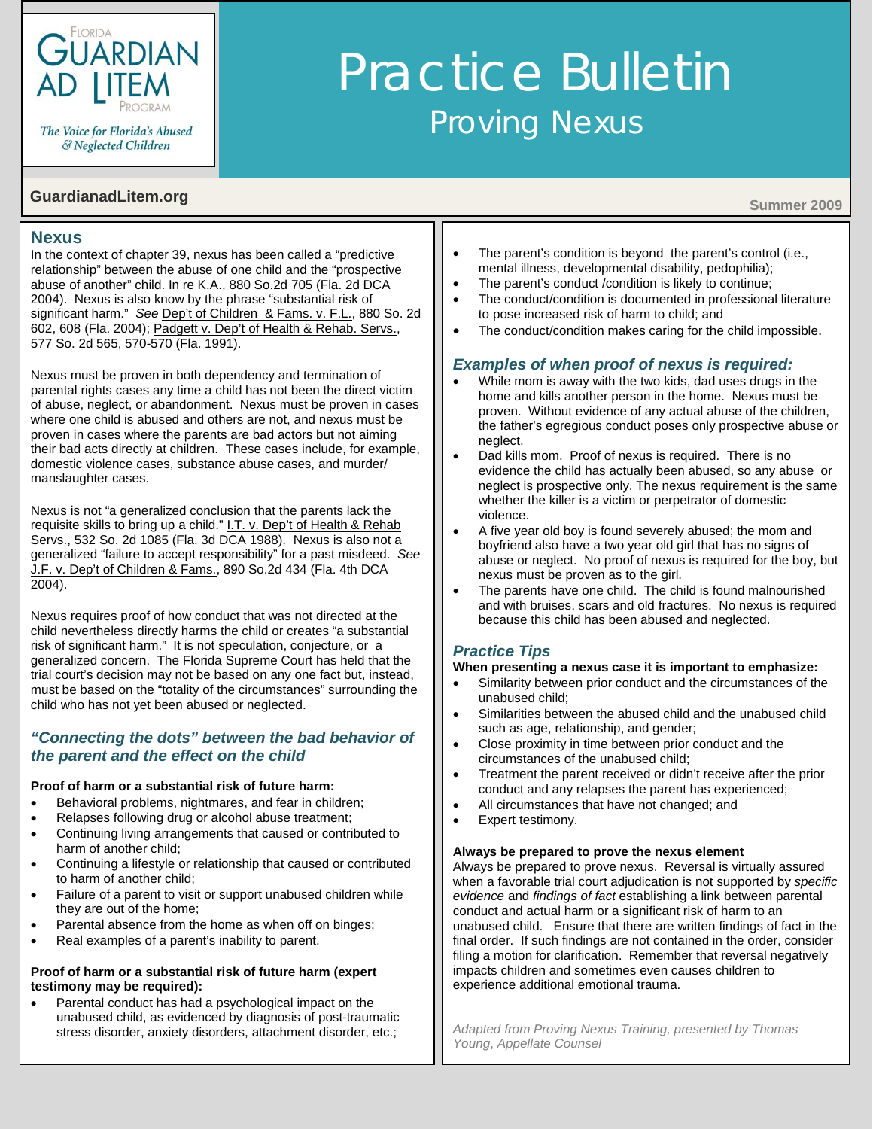

The Voice for Florida's Abused & Neglected Children

# **GuardianadLitem.org** Summer 2009

# **Nexus**

In the context of chapter 39, nexus has been called a "predictive relationship" between the abuse of one child and the "prospective abuse of another" child. [In re K.A., 880 So.2d 705 \(Fla.](http://www.2dca.org/opinions/Opinion_Pages/Opinion_Page_2004/April/April%2028,%202004/2D03-866.pdf) 2d DCA [2004\).](http://www.2dca.org/opinions/Opinion_Pages/Opinion_Page_2004/April/April%2028,%202004/2D03-866.pdf) Nexus is also know by the phrase "substantial risk of significant harm." *See* [Dep't of Children & Fams. v. F.L., 880 So. 2d](http://www.guardianadlitem.org/training_docs/December07/F.L.pdf)  [602, 608 \(Fla. 2004\);](http://www.guardianadlitem.org/training_docs/December07/F.L.pdf) [Padgett v. Dep't of Health & Rehab. Servs.,](http://www.guardianadlitem.org/training_docs/December07/Padgett.pdf)  [577 So. 2d 565, 570-570 \(Fla. 1991\).](http://www.guardianadlitem.org/training_docs/December07/Padgett.pdf)

Nexus must be proven in both dependency and termination of parental rights cases any time a child has not been the direct victim of abuse, neglect, or abandonment. Nexus must be proven in cases where one child is abused and others are not, and nexus must be proven in cases where the parents are bad actors but not aiming their bad acts directly at children. These cases include, for example, domestic violence cases, substance abuse cases, and murder/ manslaughter cases.

Nexus is not "a generalized conclusion that the parents lack the requisite skills to bring up a child." I.T. v. Dep't of Health & Rehab Servs., 532 So. 2d 1085 (Fla. 3d DCA 1988). Nexus is also not a generalized "failure to accept responsibility" for a past misdeed. *See* [J.F. v. Dep't of Children & Fams., 890 So.2d 434 \(Fla. 4th](http://www.guardianadlitem.org/case_sums/prospective_abuse/prospectabuse_jf_dcf.doc) DCA 2004).

Nexus requires proof of how conduct that was not directed at the child nevertheless directly harms the child or creates "a substantial risk of significant harm." It is not speculation, conjecture, or a generalized concern. The Florida Supreme Court has held that the trial court's decision may not be based on any one fact but, instead, must be based on the "totality of the circumstances" surrounding the child who has not yet been abused or neglected.

# *"Connecting the dots" between the bad behavior of the parent and the effect on the child*

### **Proof of harm or a substantial risk of future harm:**

- Behavioral problems, nightmares, and fear in children;
- Relapses following drug or alcohol abuse treatment;
- Continuing living arrangements that caused or contributed to harm of another child;
- Continuing a lifestyle or relationship that caused or contributed to harm of another child;
- Failure of a parent to visit or support unabused children while they are out of the home;
- Parental absence from the home as when off on binges;
- Real examples of a parent's inability to parent.

#### **Proof of harm or a substantial risk of future harm (expert testimony may be required):**

• Parental conduct has had a psychological impact on the unabused child, as evidenced by diagnosis of post-traumatic stress disorder, anxiety disorders, attachment disorder, etc.;

- The parent's condition is beyond the parent's control (i.e., mental illness, developmental disability, pedophilia);
- The parent's conduct /condition is likely to continue;

Practice Bulletin

Proving Nexus

- The conduct/condition is documented in professional literature to pose increased risk of harm to child; and
- The conduct/condition makes caring for the child impossible.

# *Examples of when proof of nexus is required:*

- While mom is away with the two kids, dad uses drugs in the home and kills another person in the home. Nexus must be proven. Without evidence of any actual abuse of the children, the father's egregious conduct poses only prospective abuse or neglect.
- Dad kills mom. Proof of nexus is required. There is no evidence the child has actually been abused, so any abuse or neglect is prospective only. The nexus requirement is the same whether the killer is a victim or perpetrator of domestic violence.
- A five year old boy is found severely abused; the mom and boyfriend also have a two year old girl that has no signs of abuse or neglect. No proof of nexus is required for the boy, but nexus must be proven as to the girl.
- The parents have one child. The child is found malnourished and with bruises, scars and old fractures. No nexus is required because this child has been abused and neglected.

# *Practice Tips*

### **When presenting a nexus case it is important to emphasize:**

- Similarity between prior conduct and the circumstances of the unabused child;
- Similarities between the abused child and the unabused child such as age, relationship, and gender;
- Close proximity in time between prior conduct and the circumstances of the unabused child;
- Treatment the parent received or didn't receive after the prior conduct and any relapses the parent has experienced;
- All circumstances that have not changed; and
- Expert testimony.

#### **Always be prepared to prove the nexus element**

Always be prepared to prove nexus. Reversal is virtually assured when a favorable trial court adjudication is not supported by *specific evidence* and *findings of fact* establishing a link between parental conduct and actual harm or a significant risk of harm to an unabused child. Ensure that there are written findings of fact in the final order. If such findings are not contained in the order, consider filing a motion for clarification. Remember that reversal negatively impacts children and sometimes even causes children to experience additional emotional trauma.

*Adapted from Proving Nexus Training, presented by Thomas Young*, *Appellate Counsel*